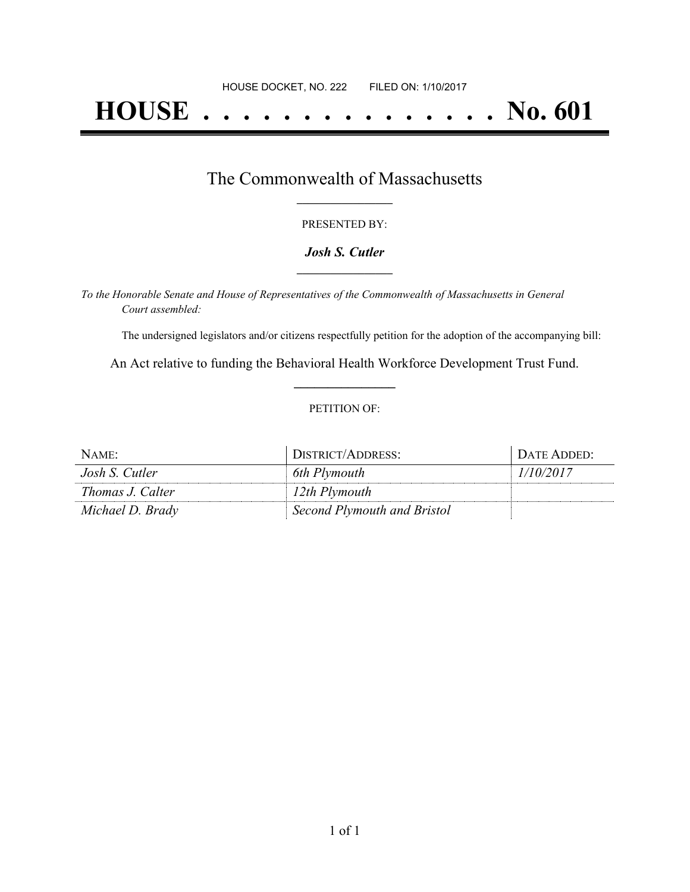# **HOUSE . . . . . . . . . . . . . . . No. 601**

## The Commonwealth of Massachusetts **\_\_\_\_\_\_\_\_\_\_\_\_\_\_\_\_\_**

#### PRESENTED BY:

#### *Josh S. Cutler* **\_\_\_\_\_\_\_\_\_\_\_\_\_\_\_\_\_**

*To the Honorable Senate and House of Representatives of the Commonwealth of Massachusetts in General Court assembled:*

The undersigned legislators and/or citizens respectfully petition for the adoption of the accompanying bill:

An Act relative to funding the Behavioral Health Workforce Development Trust Fund. **\_\_\_\_\_\_\_\_\_\_\_\_\_\_\_**

#### PETITION OF:

| NAME:            | DISTRICT/ADDRESS:           | DATE ADDED: |
|------------------|-----------------------------|-------------|
| Josh S. Cutler   | 6th Plymouth                | 1/10/2017   |
| Thomas J. Calter | 12th Plymouth               |             |
| Michael D. Brady | Second Plymouth and Bristol |             |